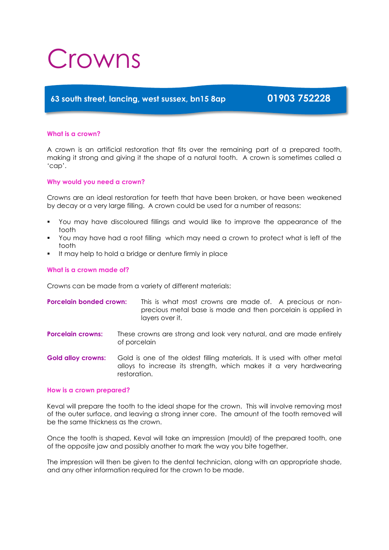# Crowns

# **63 south street, lancing, west sussex, bn15 8ap 01903 752228**

# **What is a crown?**

A crown is an artificial restoration that fits over the remaining part of a prepared tooth, making it strong and giving it the shape of a natural tooth. A crown is sometimes called a 'cap'.

# **Why would you need a crown?**

Crowns are an ideal restoration for teeth that have been broken, or have been weakened by decay or a very large filling. A crown could be used for a number of reasons:

- You may have discoloured fillings and would like to improve the appearance of the tooth
- You may have had a root filling which may need a crown to protect what is left of the tooth
- It may help to hold a bridge or denture firmly in place

# **What is a crown made of?**

Crowns can be made from a variety of different materials:

| Porcelain bonded crown: | This is what most crowns are made of. A precious or non-     |
|-------------------------|--------------------------------------------------------------|
|                         | precious metal base is made and then porcelain is applied in |
|                         | lavers over it.                                              |

- **Porcelain crowns:** These crowns are strong and look very natural, and are made entirely of porcelain
- **Gold alloy crowns:** Gold is one of the oldest filling materials. It is used with other metal alloys to increase its strength, which makes it a very hardwearing restoration.

## **How is a crown prepared?**

Keval will prepare the tooth to the ideal shape for the crown. This will involve removing most of the outer surface, and leaving a strong inner core. The amount of the tooth removed will be the same thickness as the crown.

Once the tooth is shaped, Keval will take an impression (mould) of the prepared tooth, one of the opposite jaw and possibly another to mark the way you bite together.

The impression will then be given to the dental technician, along with an appropriate shade, and any other information required for the crown to be made.